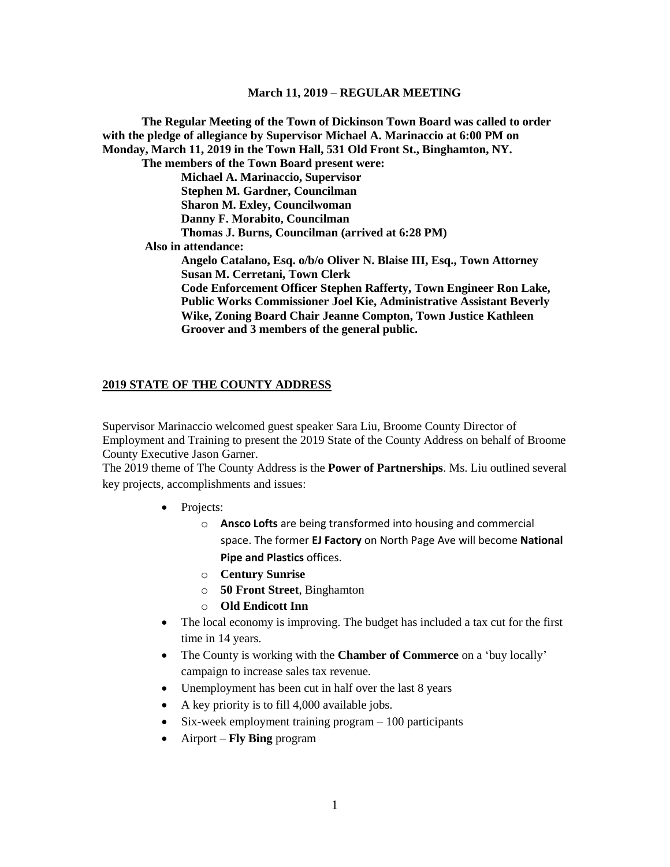**The Regular Meeting of the Town of Dickinson Town Board was called to order with the pledge of allegiance by Supervisor Michael A. Marinaccio at 6:00 PM on Monday, March 11, 2019 in the Town Hall, 531 Old Front St., Binghamton, NY. The members of the Town Board present were: Michael A. Marinaccio, Supervisor Stephen M. Gardner, Councilman Sharon M. Exley, Councilwoman Danny F. Morabito, Councilman Thomas J. Burns, Councilman (arrived at 6:28 PM) Also in attendance: Angelo Catalano, Esq. o/b/o Oliver N. Blaise III, Esq., Town Attorney Susan M. Cerretani, Town Clerk Code Enforcement Officer Stephen Rafferty, Town Engineer Ron Lake, Public Works Commissioner Joel Kie, Administrative Assistant Beverly Wike, Zoning Board Chair Jeanne Compton, Town Justice Kathleen Groover and 3 members of the general public.**

#### **2019 STATE OF THE COUNTY ADDRESS**

Supervisor Marinaccio welcomed guest speaker Sara Liu, Broome County Director of Employment and Training to present the 2019 State of the County Address on behalf of Broome County Executive Jason Garner.

The 2019 theme of The County Address is the **Power of Partnerships**. Ms. Liu outlined several key projects, accomplishments and issues:

- Projects:
	- o **Ansco Lofts** are being transformed into housing and commercial space. The former **EJ Factory** on North Page Ave will become **National Pipe and Plastics** offices.
	- o **Century Sunrise**
	- o **50 Front Street**, Binghamton
	- o **Old Endicott Inn**
- The local economy is improving. The budget has included a tax cut for the first time in 14 years.
- The County is working with the **Chamber of Commerce** on a 'buy locally' campaign to increase sales tax revenue.
- Unemployment has been cut in half over the last 8 years
- A key priority is to fill 4,000 available jobs.
- Six-week employment training program 100 participants
- Airport **Fly Bing** program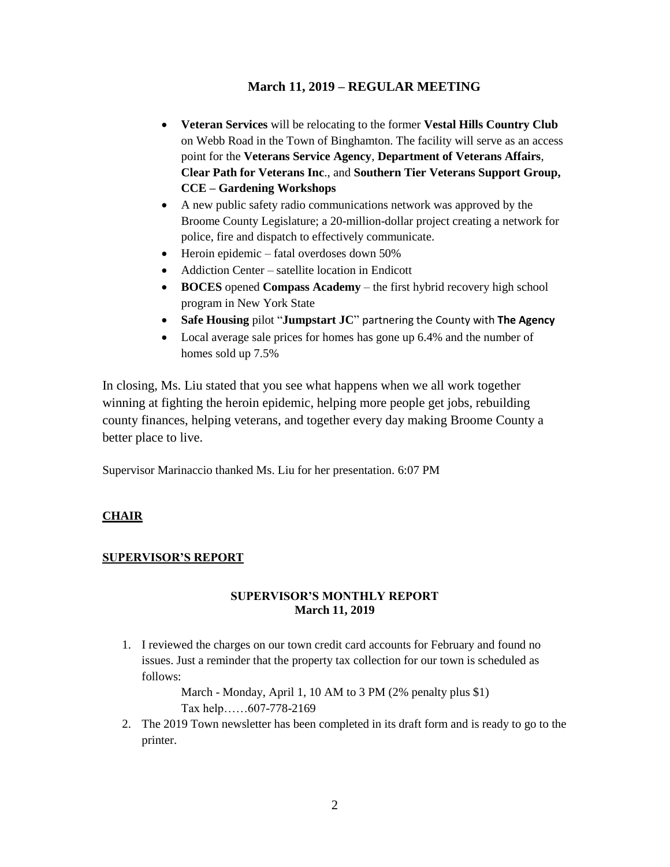- **Veteran Services** will be relocating to the former **Vestal Hills Country Club** on Webb Road in the Town of Binghamton. The facility will serve as an access point for the **Veterans Service Agency**, **Department of Veterans Affairs**, **Clear Path for Veterans Inc**., and **Southern Tier Veterans Support Group, CCE – Gardening Workshops**
- A new public safety radio communications network was approved by the Broome County Legislature; a 20-million-dollar project creating a network for police, fire and dispatch to effectively communicate.
- Heroin epidemic fatal overdoses down 50%
- Addiction Center satellite location in Endicott
- **BOCES** opened **Compass Academy** the first hybrid recovery high school program in New York State
- **Safe Housing** pilot "**Jumpstart JC**" partnering the County with **The Agency**
- Local average sale prices for homes has gone up 6.4% and the number of homes sold up 7.5%

In closing, Ms. Liu stated that you see what happens when we all work together winning at fighting the heroin epidemic, helping more people get jobs, rebuilding county finances, helping veterans, and together every day making Broome County a better place to live.

Supervisor Marinaccio thanked Ms. Liu for her presentation. 6:07 PM

# **CHAIR**

# **SUPERVISOR'S REPORT**

## **SUPERVISOR'S MONTHLY REPORT March 11, 2019**

1. I reviewed the charges on our town credit card accounts for February and found no issues. Just a reminder that the property tax collection for our town is scheduled as follows:

> March - Monday, April 1, 10 AM to 3 PM (2% penalty plus \$1) Tax help……607-778-2169

2. The 2019 Town newsletter has been completed in its draft form and is ready to go to the printer.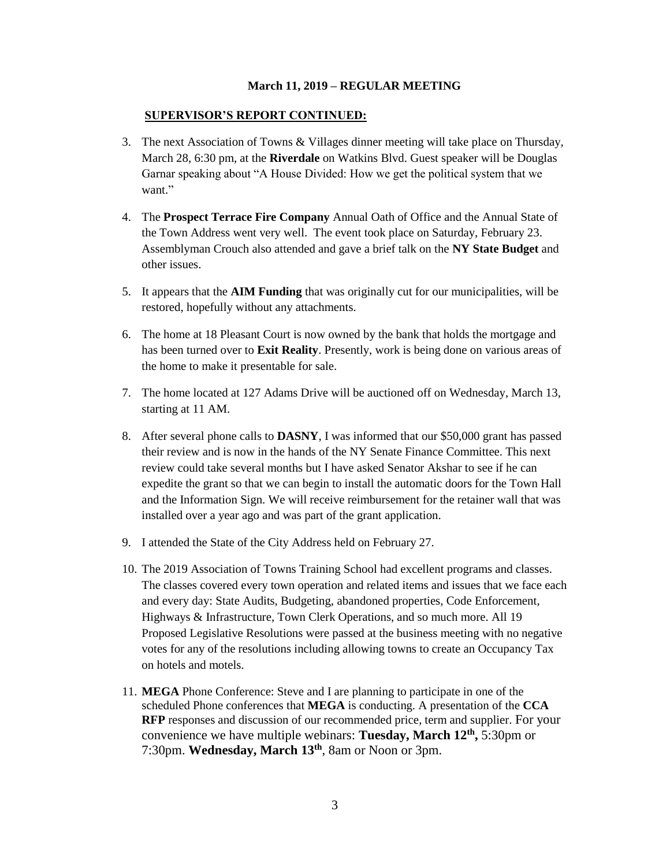#### **SUPERVISOR'S REPORT CONTINUED:**

- 3. The next Association of Towns & Villages dinner meeting will take place on Thursday, March 28, 6:30 pm, at the **Riverdale** on Watkins Blvd. Guest speaker will be Douglas Garnar speaking about "A House Divided: How we get the political system that we want."
- 4. The **Prospect Terrace Fire Company** Annual Oath of Office and the Annual State of the Town Address went very well. The event took place on Saturday, February 23. Assemblyman Crouch also attended and gave a brief talk on the **NY State Budget** and other issues.
- 5. It appears that the **AIM Funding** that was originally cut for our municipalities, will be restored, hopefully without any attachments.
- 6. The home at 18 Pleasant Court is now owned by the bank that holds the mortgage and has been turned over to **Exit Reality**. Presently, work is being done on various areas of the home to make it presentable for sale.
- 7. The home located at 127 Adams Drive will be auctioned off on Wednesday, March 13, starting at 11 AM.
- 8. After several phone calls to **DASNY**, I was informed that our \$50,000 grant has passed their review and is now in the hands of the NY Senate Finance Committee. This next review could take several months but I have asked Senator Akshar to see if he can expedite the grant so that we can begin to install the automatic doors for the Town Hall and the Information Sign. We will receive reimbursement for the retainer wall that was installed over a year ago and was part of the grant application.
- 9. I attended the State of the City Address held on February 27.
- 10. The 2019 Association of Towns Training School had excellent programs and classes. The classes covered every town operation and related items and issues that we face each and every day: State Audits, Budgeting, abandoned properties, Code Enforcement, Highways & Infrastructure, Town Clerk Operations, and so much more. All 19 Proposed Legislative Resolutions were passed at the business meeting with no negative votes for any of the resolutions including allowing towns to create an Occupancy Tax on hotels and motels.
- 11. **MEGA** Phone Conference: Steve and I are planning to participate in one of the scheduled Phone conferences that **MEGA** is conducting. A presentation of the **CCA RFP** responses and discussion of our recommended price, term and supplier. For your convenience we have multiple webinars: **Tuesday, March 12th ,** 5:30pm or 7:30pm. **Wednesday, March 13th**, 8am or Noon or 3pm.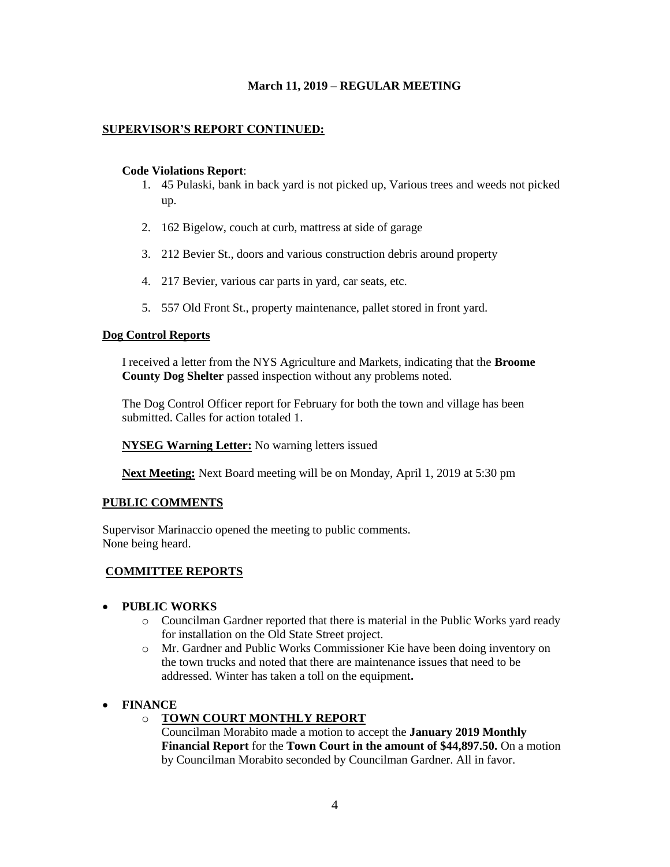## **SUPERVISOR'S REPORT CONTINUED:**

### **Code Violations Report**:

- 1. 45 Pulaski, bank in back yard is not picked up, Various trees and weeds not picked up.
- 2. 162 Bigelow, couch at curb, mattress at side of garage
- 3. 212 Bevier St., doors and various construction debris around property
- 4. 217 Bevier, various car parts in yard, car seats, etc.
- 5. 557 Old Front St., property maintenance, pallet stored in front yard.

## **Dog Control Reports**

I received a letter from the NYS Agriculture and Markets, indicating that the **Broome County Dog Shelter** passed inspection without any problems noted.

The Dog Control Officer report for February for both the town and village has been submitted. Calles for action totaled 1.

**NYSEG Warning Letter:** No warning letters issued

**Next Meeting:** Next Board meeting will be on Monday, April 1, 2019 at 5:30 pm

## **PUBLIC COMMENTS**

Supervisor Marinaccio opened the meeting to public comments. None being heard.

# **COMMITTEE REPORTS**

## • **PUBLIC WORKS**

- o Councilman Gardner reported that there is material in the Public Works yard ready for installation on the Old State Street project.
- o Mr. Gardner and Public Works Commissioner Kie have been doing inventory on the town trucks and noted that there are maintenance issues that need to be addressed. Winter has taken a toll on the equipment**.**

# • **FINANCE**

o **TOWN COURT MONTHLY REPORT**

Councilman Morabito made a motion to accept the **January 2019 Monthly Financial Report** for the **Town Court in the amount of \$44,897.50.** On a motion by Councilman Morabito seconded by Councilman Gardner. All in favor.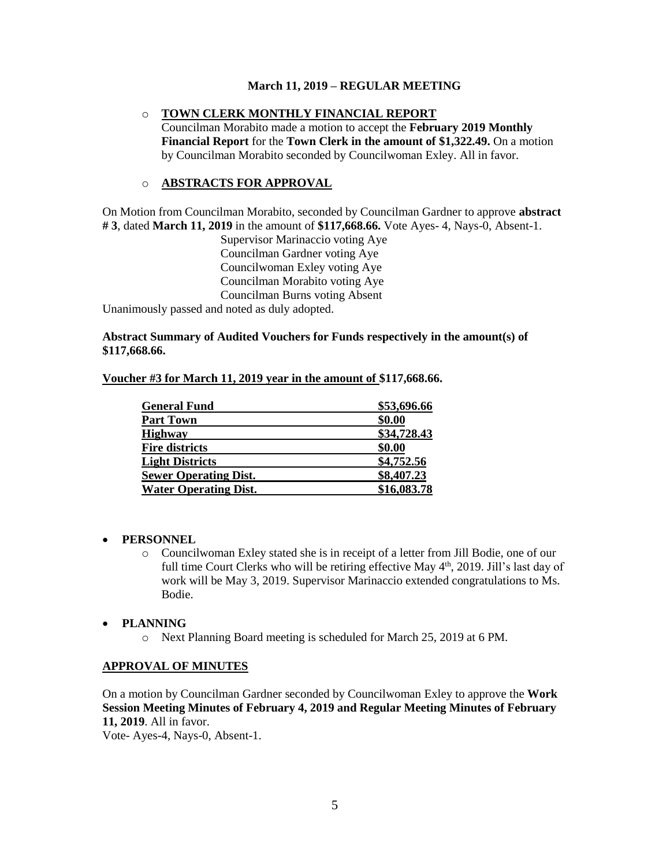## o **TOWN CLERK MONTHLY FINANCIAL REPORT**

Councilman Morabito made a motion to accept the **February 2019 Monthly Financial Report** for the **Town Clerk in the amount of \$1,322.49.** On a motion by Councilman Morabito seconded by Councilwoman Exley. All in favor.

### o **ABSTRACTS FOR APPROVAL**

On Motion from Councilman Morabito, seconded by Councilman Gardner to approve **abstract # 3**, dated **March 11, 2019** in the amount of **\$117,668.66.** Vote Ayes- 4, Nays-0, Absent-1.

> Supervisor Marinaccio voting Aye Councilman Gardner voting Aye Councilwoman Exley voting Aye Councilman Morabito voting Aye Councilman Burns voting Absent

Unanimously passed and noted as duly adopted.

### **Abstract Summary of Audited Vouchers for Funds respectively in the amount(s) of \$117,668.66.**

#### **Voucher #3 for March 11, 2019 year in the amount of \$117,668.66.**

| <b>General Fund</b>          | \$53,696.66 |
|------------------------------|-------------|
| <b>Part Town</b>             | \$0.00      |
| <b>Highway</b>               | \$34,728.43 |
| <b>Fire districts</b>        | \$0.00      |
| <b>Light Districts</b>       | \$4,752.56  |
| <b>Sewer Operating Dist.</b> | \$8,407.23  |
| <b>Water Operating Dist.</b> | \$16,083.78 |

#### • **PERSONNEL**

o Councilwoman Exley stated she is in receipt of a letter from Jill Bodie, one of our full time Court Clerks who will be retiring effective May 4<sup>th</sup>, 2019. Jill's last day of work will be May 3, 2019. Supervisor Marinaccio extended congratulations to Ms. Bodie.

#### • **PLANNING**

o Next Planning Board meeting is scheduled for March 25, 2019 at 6 PM.

#### **APPROVAL OF MINUTES**

On a motion by Councilman Gardner seconded by Councilwoman Exley to approve the **Work Session Meeting Minutes of February 4, 2019 and Regular Meeting Minutes of February 11, 2019**. All in favor. Vote- Ayes-4, Nays-0, Absent-1.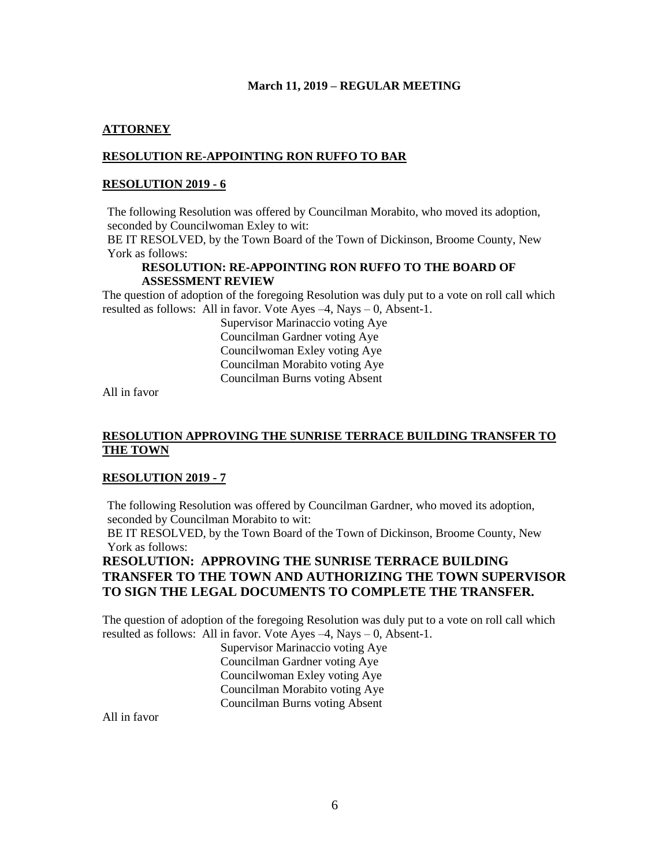## **ATTORNEY**

## **RESOLUTION RE-APPOINTING RON RUFFO TO BAR**

### **RESOLUTION 2019 - 6**

The following Resolution was offered by Councilman Morabito, who moved its adoption, seconded by Councilwoman Exley to wit:

BE IT RESOLVED, by the Town Board of the Town of Dickinson, Broome County, New York as follows:

#### **RESOLUTION: RE-APPOINTING RON RUFFO TO THE BOARD OF ASSESSMENT REVIEW**

The question of adoption of the foregoing Resolution was duly put to a vote on roll call which resulted as follows: All in favor. Vote Ayes –4, Nays – 0, Absent-1.

> Supervisor Marinaccio voting Aye Councilman Gardner voting Aye Councilwoman Exley voting Aye Councilman Morabito voting Aye Councilman Burns voting Absent

All in favor

## **RESOLUTION APPROVING THE SUNRISE TERRACE BUILDING TRANSFER TO THE TOWN**

#### **RESOLUTION 2019 - 7**

The following Resolution was offered by Councilman Gardner, who moved its adoption, seconded by Councilman Morabito to wit:

BE IT RESOLVED, by the Town Board of the Town of Dickinson, Broome County, New York as follows:

# **RESOLUTION: APPROVING THE SUNRISE TERRACE BUILDING TRANSFER TO THE TOWN AND AUTHORIZING THE TOWN SUPERVISOR TO SIGN THE LEGAL DOCUMENTS TO COMPLETE THE TRANSFER.**

The question of adoption of the foregoing Resolution was duly put to a vote on roll call which resulted as follows: All in favor. Vote Ayes  $-4$ , Nays  $-0$ , Absent-1.

> Supervisor Marinaccio voting Aye Councilman Gardner voting Aye Councilwoman Exley voting Aye Councilman Morabito voting Aye Councilman Burns voting Absent

All in favor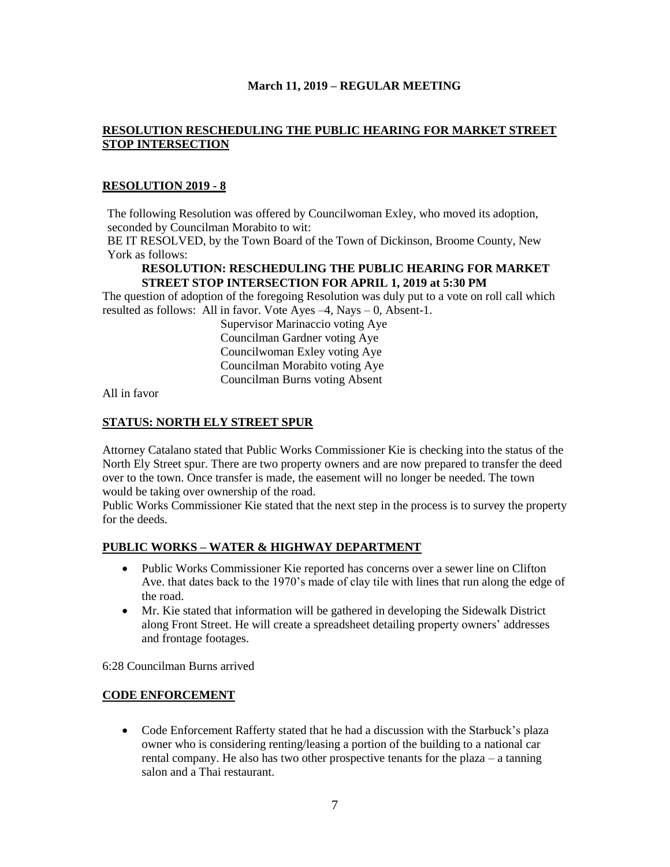## **RESOLUTION RESCHEDULING THE PUBLIC HEARING FOR MARKET STREET STOP INTERSECTION**

## **RESOLUTION 2019 - 8**

The following Resolution was offered by Councilwoman Exley, who moved its adoption, seconded by Councilman Morabito to wit:

BE IT RESOLVED, by the Town Board of the Town of Dickinson, Broome County, New York as follows:

## **RESOLUTION: RESCHEDULING THE PUBLIC HEARING FOR MARKET STREET STOP INTERSECTION FOR APRIL 1, 2019 at 5:30 PM**

The question of adoption of the foregoing Resolution was duly put to a vote on roll call which resulted as follows: All in favor. Vote Ayes –4, Nays – 0, Absent-1.

> Supervisor Marinaccio voting Aye Councilman Gardner voting Aye Councilwoman Exley voting Aye Councilman Morabito voting Aye Councilman Burns voting Absent

All in favor

## **STATUS: NORTH ELY STREET SPUR**

Attorney Catalano stated that Public Works Commissioner Kie is checking into the status of the North Ely Street spur. There are two property owners and are now prepared to transfer the deed over to the town. Once transfer is made, the easement will no longer be needed. The town would be taking over ownership of the road.

Public Works Commissioner Kie stated that the next step in the process is to survey the property for the deeds.

## **PUBLIC WORKS – WATER & HIGHWAY DEPARTMENT**

- Public Works Commissioner Kie reported has concerns over a sewer line on Clifton Ave. that dates back to the 1970's made of clay tile with lines that run along the edge of the road.
- Mr. Kie stated that information will be gathered in developing the Sidewalk District along Front Street. He will create a spreadsheet detailing property owners' addresses and frontage footages.

6:28 Councilman Burns arrived

# **CODE ENFORCEMENT**

• Code Enforcement Rafferty stated that he had a discussion with the Starbuck's plaza owner who is considering renting/leasing a portion of the building to a national car rental company. He also has two other prospective tenants for the plaza – a tanning salon and a Thai restaurant.